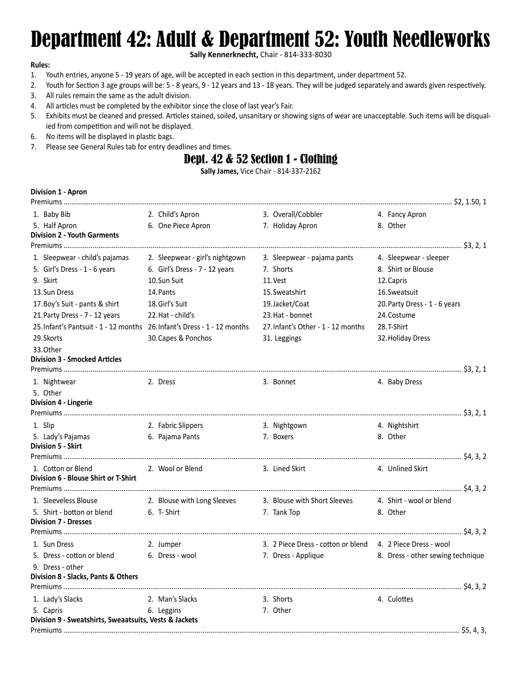# Department 42: Adult & Department 52: Youth Needleworks

**Sally Kennerknecht,** Chair - 814-333-8030

### **Rules:**

- 1. Youth entries, anyone 5 19 years of age, will be accepted in each section in this department, under department 52.
- 2. Youth for Section 3 age groups will be: 5 8 years, 9 12 years and 13 18 years. They will be judged separately and awards given respectively.
- 3. All rules remain the same as the adult division.
- 4. All articles must be completed by the exhibitor since the close of last year's Fair.
- 5. Exhibits must be cleaned and pressed. Articles stained, soiled, unsanitary or showing signs of wear are unacceptable. Such items will be disqualied from competition and will not be displayed.
- 6. No items will be displayed in plastic bags.
- 7. Please see General Rules tab for entry deadlines and times.

# Dept. 42 & 52 Section 1 - Clothing

**Sally James,** Vice Chair - 814-337-2162

## **Division 1 - Apron**

| 1. Baby Bib                                                              | 2. Child's Apron                | 3. Overall/Cobbler                                         | 4. Fancy Apron                    |
|--------------------------------------------------------------------------|---------------------------------|------------------------------------------------------------|-----------------------------------|
| 5. Half Apron                                                            | 6. One Piece Apron              | 7. Holiday Apron                                           | 8. Other                          |
| <b>Division 2 - Youth Garments</b>                                       |                                 |                                                            |                                   |
|                                                                          |                                 |                                                            |                                   |
| 1. Sleepwear - child's pajamas                                           | 2. Sleepwear - girl's nightgown | 3. Sleepwear - pajama pants                                | 4. Sleepwear - sleeper            |
| 5. Girl's Dress - 1 - 6 years                                            | 6. Girl's Dress - 7 - 12 years  | 7. Shorts                                                  | 8. Shirt or Blouse                |
| 9. Skirt                                                                 | 10.Sun Suit                     | 11. Vest                                                   | 12. Capris                        |
| 13. Sun Dress                                                            | 14. Pants                       | 15. Sweatshirt                                             | 16. Sweatsuit                     |
| 17. Boy's Suit - pants & shirt                                           | 18. Girl's Suit                 | 19.Jacket/Coat                                             | 20. Party Dress - 1 - 6 years     |
| 21. Party Dress - 7 - 12 years                                           | 22. Hat - child's               | 23. Hat - bonnet                                           | 24. Costume                       |
| 25. Infant's Pantsuit - 1 - 12 months 26. Infant's Dress - 1 - 12 months |                                 | 27. Infant's Other - 1 - 12 months                         | 28.T-Shirt                        |
| 29. Skorts                                                               | 30. Capes & Ponchos             | 31. Leggings                                               | 32. Holiday Dress                 |
| 33. Other<br><b>Division 3 - Smocked Articles</b>                        |                                 |                                                            |                                   |
|                                                                          |                                 |                                                            |                                   |
| 1. Nightwear                                                             | 2. Dress                        | 3. Bonnet                                                  | 4. Baby Dress                     |
| 5. Other                                                                 |                                 |                                                            |                                   |
| Division 4 - Lingerie                                                    |                                 |                                                            |                                   |
|                                                                          |                                 |                                                            |                                   |
| 1. Slip                                                                  | 2. Fabric Slippers              | 3. Nightgown                                               | 4. Nightshirt                     |
| 5. Lady's Pajamas                                                        | 6. Pajama Pants                 | 7. Boxers                                                  | 8. Other                          |
| Division 5 - Skirt                                                       |                                 |                                                            |                                   |
|                                                                          |                                 |                                                            |                                   |
| 1. Cotton or Blend                                                       | 2. Wool or Blend                | 3. Lined Skirt                                             | 4. Unlined Skirt                  |
| Division 6 - Blouse Shirt or T-Shirt                                     |                                 |                                                            |                                   |
|                                                                          |                                 |                                                            |                                   |
| 1. Sleeveless Blouse                                                     | 2. Blouse with Long Sleeves     | 3. Blouse with Short Sleeves                               | 4. Shirt - wool or blend          |
| 5. Shirt - botton or blend<br><b>Division 7 - Dresses</b>                | 6. T-Shirt                      | 7. Tank Top                                                | 8. Other                          |
|                                                                          |                                 |                                                            |                                   |
| 1. Sun Dress                                                             | 2. Jumper                       | 3. 2 Piece Dress - cotton or blend 4. 2 Piece Dress - wool |                                   |
|                                                                          | 6. Dress - wool                 | 7. Dress - Applique                                        |                                   |
| 5. Dress - cotton or blend                                               |                                 |                                                            | 8. Dress - other sewing technique |
| 9. Dress - other<br>Division 8 - Slacks, Pants & Others                  |                                 |                                                            |                                   |
|                                                                          |                                 |                                                            |                                   |
| 1. Lady's Slacks                                                         | 2. Man's Slacks                 | 3. Shorts                                                  | 4. Culottes                       |
| 5. Capris                                                                | 6. Leggins                      | 7. Other                                                   |                                   |
| Division 9 - Sweatshirts, Sweaatsuits, Vests & Jackets                   |                                 |                                                            |                                   |
|                                                                          |                                 |                                                            |                                   |
|                                                                          |                                 |                                                            |                                   |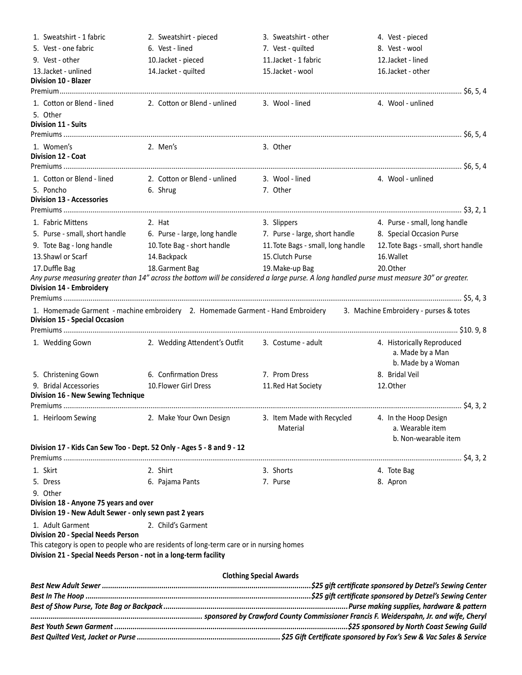| 1. Sweatshirt - 1 fabric                                           | 2. Sweatshirt - pieced                                                                  | 3. Sweatshirt - other                                                                                                                                         | 4. Vest - pieced                    |
|--------------------------------------------------------------------|-----------------------------------------------------------------------------------------|---------------------------------------------------------------------------------------------------------------------------------------------------------------|-------------------------------------|
| 5. Vest - one fabric                                               | 6. Vest - lined                                                                         | 7. Vest - quilted                                                                                                                                             | 8. Vest - wool                      |
| 9. Vest - other                                                    | 10. Jacket - pieced                                                                     | 11. Jacket - 1 fabric                                                                                                                                         | 12. Jacket - lined                  |
| 13. Jacket - unlined                                               | 14. Jacket - quilted                                                                    | 15. Jacket - wool                                                                                                                                             | 16. Jacket - other                  |
| <b>Division 10 - Blazer</b>                                        |                                                                                         |                                                                                                                                                               |                                     |
|                                                                    |                                                                                         |                                                                                                                                                               |                                     |
| 1. Cotton or Blend - lined                                         | 2. Cotton or Blend - unlined                                                            | 3. Wool - lined                                                                                                                                               | 4. Wool - unlined                   |
| 5. Other<br><b>Division 11 - Suits</b>                             |                                                                                         |                                                                                                                                                               |                                     |
|                                                                    |                                                                                         |                                                                                                                                                               |                                     |
| 1. Women's                                                         | 2. Men's                                                                                | 3. Other                                                                                                                                                      |                                     |
| <b>Division 12 - Coat</b>                                          |                                                                                         |                                                                                                                                                               |                                     |
|                                                                    |                                                                                         |                                                                                                                                                               |                                     |
| 1. Cotton or Blend - lined                                         | 2. Cotton or Blend - unlined                                                            | 3. Wool - lined                                                                                                                                               | 4. Wool - unlined                   |
| 5. Poncho                                                          | 6. Shrug                                                                                | 7. Other                                                                                                                                                      |                                     |
| <b>Division 13 - Accessories</b>                                   |                                                                                         |                                                                                                                                                               |                                     |
|                                                                    |                                                                                         |                                                                                                                                                               |                                     |
| 1. Fabric Mittens                                                  | 2. Hat                                                                                  | 3. Slippers                                                                                                                                                   | 4. Purse - small, long handle       |
|                                                                    | 5. Purse - small, short handle 6. Purse - large, long handle                            | 7. Purse - large, short handle                                                                                                                                | 8. Special Occasion Purse           |
| 9. Tote Bag - long handle                                          | 10. Tote Bag - short handle                                                             | 11. Tote Bags - small, long handle                                                                                                                            | 12. Tote Bags - small, short handle |
| 13. Shawl or Scarf                                                 | 14. Backpack                                                                            | 15. Clutch Purse                                                                                                                                              | 16. Wallet                          |
| 17. Duffle Bag                                                     | 18. Garment Bag                                                                         | 19. Make-up Bag<br>Any purse measuring greater than 14" across the bottom will be considered a large purse. A long handled purse must measure 30" or greater. | 20.Other                            |
| <b>Division 14 - Embroidery</b>                                    |                                                                                         |                                                                                                                                                               |                                     |
|                                                                    |                                                                                         |                                                                                                                                                               |                                     |
|                                                                    |                                                                                         | 1. Homemade Garment - machine embroidery 2. Homemade Garment - Hand Embroidery 3. Machine Embroidery - purses & totes                                         |                                     |
| <b>Division 15 - Special Occasion</b>                              |                                                                                         |                                                                                                                                                               |                                     |
|                                                                    |                                                                                         |                                                                                                                                                               |                                     |
| 1. Wedding Gown                                                    | 2. Wedding Attendent's Outfit                                                           | 3. Costume - adult                                                                                                                                            | 4. Historically Reproduced          |
|                                                                    |                                                                                         |                                                                                                                                                               | a. Made by a Man                    |
|                                                                    |                                                                                         |                                                                                                                                                               | b. Made by a Woman                  |
| 5. Christening Gown                                                | 6. Confirmation Dress                                                                   | 7. Prom Dress                                                                                                                                                 | 8. Bridal Veil                      |
| 9. Bridal Accessories<br><b>Division 16 - New Sewing Technique</b> | 10. Flower Girl Dress                                                                   | 11. Red Hat Society                                                                                                                                           | 12. Other                           |
|                                                                    |                                                                                         |                                                                                                                                                               |                                     |
| 1. Heirloom Sewing                                                 | 2. Make Your Own Design                                                                 | 3. Item Made with Recycled                                                                                                                                    | 4. In the Hoop Design               |
|                                                                    |                                                                                         | Material                                                                                                                                                      | a. Wearable item                    |
|                                                                    |                                                                                         |                                                                                                                                                               | b. Non-wearable item                |
|                                                                    | Division 17 - Kids Can Sew Too - Dept. 52 Only - Ages 5 - 8 and 9 - 12                  |                                                                                                                                                               |                                     |
|                                                                    |                                                                                         |                                                                                                                                                               |                                     |
| 1. Skirt                                                           | 2. Shirt                                                                                | 3. Shorts                                                                                                                                                     | 4. Tote Bag                         |
| 5. Dress                                                           | 6. Pajama Pants                                                                         | 7. Purse                                                                                                                                                      | 8. Apron                            |
| 9. Other<br>Division 18 - Anyone 75 years and over                 |                                                                                         |                                                                                                                                                               |                                     |
| Division 19 - New Adult Sewer - only sewn past 2 years             |                                                                                         |                                                                                                                                                               |                                     |
| 1. Adult Garment                                                   | 2. Child's Garment                                                                      |                                                                                                                                                               |                                     |
| <b>Division 20 - Special Needs Person</b>                          |                                                                                         |                                                                                                                                                               |                                     |
|                                                                    | This category is open to people who are residents of long-term care or in nursing homes |                                                                                                                                                               |                                     |
| Division 21 - Special Needs Person - not in a long-term facility   |                                                                                         |                                                                                                                                                               |                                     |
|                                                                    |                                                                                         |                                                                                                                                                               |                                     |
|                                                                    |                                                                                         | <b>Clothing Special Awards</b>                                                                                                                                |                                     |
|                                                                    |                                                                                         |                                                                                                                                                               |                                     |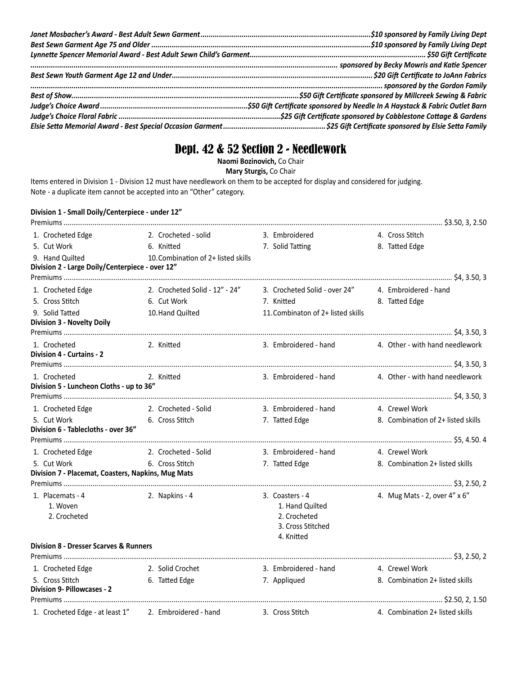# Dept. 42 & 52 Section 2 - Needlework

**Naomi Bozinovich,** Co Chair

**Mary Sturgis,** Co Chair

Items entered in Division 1 - Division 12 must have needlework on them to be accepted for display and considered for judging. Note - a duplicate item cannot be accepted into an "Other" category.

## **Division 1 - Small Doily/Centerpiece - under 12"**

| 1. Crocheted Edge                                     | 2. Crocheted - solid                                                                                          | 3. Embroidered                                      | 4. Cross Stitch                                       |
|-------------------------------------------------------|---------------------------------------------------------------------------------------------------------------|-----------------------------------------------------|-------------------------------------------------------|
| 5. Cut Work                                           | 6. Knitted                                                                                                    | 7. Solid Tatting                                    | 8. Tatted Edge                                        |
| 9. Hand Quilted                                       | 10. Combination of 2+ listed skills                                                                           |                                                     |                                                       |
| Division 2 - Large Doily/Centerpiece - over 12"       |                                                                                                               |                                                     |                                                       |
|                                                       |                                                                                                               |                                                     |                                                       |
| 1. Crocheted Edge                                     | 2. Crocheted Solid - 12" - 24"                                                                                | 3. Crocheted Solid - over 24" 4. Embroidered - hand |                                                       |
| 5. Cross Stitch                                       | 6. Cut Work                                                                                                   | 7. Knitted                                          | 8. Tatted Edge                                        |
| 9. Solid Tatted<br><b>Division 3 - Novelty Doily</b>  | 10. Hand Quilted                                                                                              | 11. Combinaton of 2+ listed skills                  |                                                       |
|                                                       |                                                                                                               |                                                     |                                                       |
| 1. Crocheted                                          | 2. Knitted                                                                                                    |                                                     | 3. Embroidered - hand 4. Other - with hand needlework |
| Division 4 - Curtains - 2                             |                                                                                                               |                                                     |                                                       |
|                                                       |                                                                                                               |                                                     |                                                       |
| 1. Crocheted                                          | 2. Knitted and the state of the state of the state of the state of the state of the state of the state of the |                                                     | 3. Embroidered - hand 4. Other - with hand needlework |
| Division 5 - Luncheon Cloths - up to 36"              |                                                                                                               |                                                     |                                                       |
|                                                       |                                                                                                               |                                                     |                                                       |
|                                                       | 1. Crocheted Edge 2. Crocheted - Solid                                                                        | 3. Embroidered - hand 4. Crewel Work                |                                                       |
| 5. Cut Work<br>Division 6 - Tablecloths - over 36"    | 6. Cross Stitch                                                                                               | 7. Tatted Edge                                      | 8. Combination of 2+ listed skills                    |
|                                                       |                                                                                                               |                                                     |                                                       |
| 1. Crocheted Edge                                     | 2. Crocheted - Solid                                                                                          | 3. Embroidered - hand                               | 4. Crewel Work                                        |
| 5. Cut Work                                           | 6. Cross Stitch                                                                                               | 7. Tatted Edge                                      | 8. Combination 2+ listed skills                       |
| Division 7 - Placemat, Coasters, Napkins, Mug Mats    |                                                                                                               |                                                     |                                                       |
|                                                       |                                                                                                               |                                                     |                                                       |
| 1. Placemats - 4                                      | 2. Napkins - 4                                                                                                | 3. Coasters - 4                                     | 4. Mug Mats - 2, over 4" x 6"                         |
| 1. Woven                                              |                                                                                                               | 1. Hand Quilted                                     |                                                       |
| 2. Crocheted                                          |                                                                                                               | 2. Crocheted<br>3. Cross Stitched                   |                                                       |
|                                                       |                                                                                                               | 4. Knitted                                          |                                                       |
| <b>Division 8 - Dresser Scarves &amp; Runners</b>     |                                                                                                               |                                                     |                                                       |
|                                                       |                                                                                                               |                                                     |                                                       |
| 1. Crocheted Edge                                     | 2. Solid Crochet                                                                                              | 3. Embroidered - hand 4. Crewel Work                |                                                       |
| 5. Cross Stitch                                       | 6. Tatted Edge                                                                                                | 7. Appliqued                                        | 8. Combination 2+ listed skills                       |
| <b>Division 9- Pillowcases - 2</b>                    |                                                                                                               |                                                     |                                                       |
|                                                       |                                                                                                               |                                                     |                                                       |
| 1. Crocheted Edge - at least 1" 2. Embroidered - hand |                                                                                                               | 3. Cross Stitch                                     | 4. Combination 2+ listed skills                       |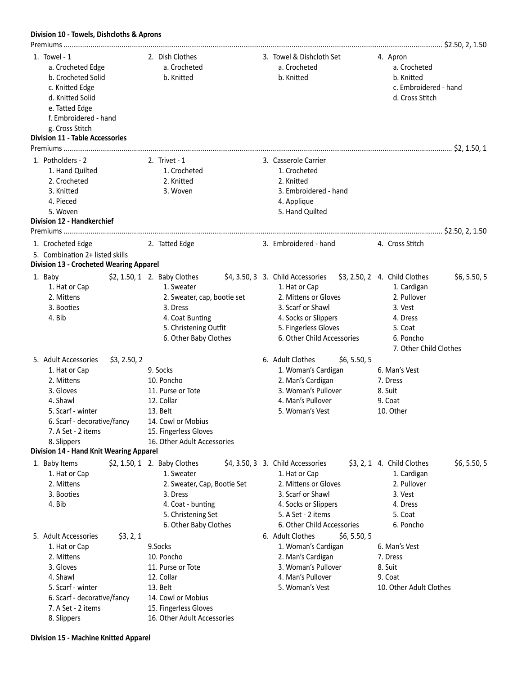## **Division 10 - Towels, Dishcloths & Aprons**

| 1. Towel - 1<br>a. Crocheted Edge<br>b. Crocheted Solid<br>c. Knitted Edge<br>d. Knitted Solid<br>e. Tatted Edge<br>f. Embroidered - hand<br>g. Cross Stitch<br><b>Division 11 - Table Accessories</b> | 2. Dish Clothes<br>a. Crocheted<br>b. Knitted                                                                                                               | 3. Towel & Dishcloth Set<br>a. Crocheted<br>b. Knitted                                                                                                                                                      | 4. Apron<br>a. Crocheted<br>b. Knitted<br>c. Embroidered - hand<br>d. Cross Stitch                                       |
|--------------------------------------------------------------------------------------------------------------------------------------------------------------------------------------------------------|-------------------------------------------------------------------------------------------------------------------------------------------------------------|-------------------------------------------------------------------------------------------------------------------------------------------------------------------------------------------------------------|--------------------------------------------------------------------------------------------------------------------------|
| 1. Potholders - 2                                                                                                                                                                                      | 2. Trivet $-1$                                                                                                                                              | 3. Casserole Carrier                                                                                                                                                                                        |                                                                                                                          |
| 1. Hand Quilted<br>2. Crocheted<br>3. Knitted<br>4. Pieced<br>5. Woven<br><b>Division 12 - Handkerchief</b>                                                                                            | 1. Crocheted<br>2. Knitted<br>3. Woven                                                                                                                      | 1. Crocheted<br>2. Knitted<br>3. Embroidered - hand<br>4. Applique<br>5. Hand Quilted                                                                                                                       |                                                                                                                          |
|                                                                                                                                                                                                        |                                                                                                                                                             |                                                                                                                                                                                                             |                                                                                                                          |
| 1. Crocheted Edge<br>5. Combination 2+ listed skills<br><b>Division 13 - Crocheted Wearing Apparel</b>                                                                                                 | 2. Tatted Edge                                                                                                                                              | 3. Embroidered - hand                                                                                                                                                                                       | 4. Cross Stitch                                                                                                          |
| 1. Baby<br>1. Hat or Cap<br>2. Mittens<br>3. Booties<br>4. Bib                                                                                                                                         | $$2, 1.50, 1$ 2. Baby Clothes<br>1. Sweater<br>2. Sweater, cap, bootie set<br>3. Dress<br>4. Coat Bunting<br>5. Christening Outfit<br>6. Other Baby Clothes | \$4, 3.50, 3 3. Child Accessories \$3, 2.50, 2 4. Child Clothes<br>1. Hat or Cap<br>2. Mittens or Gloves<br>3. Scarf or Shawl<br>4. Socks or Slippers<br>5. Fingerless Gloves<br>6. Other Child Accessories | \$6, 5.50, 5<br>1. Cardigan<br>2. Pullover<br>3. Vest<br>4. Dress<br>5. Coat<br>6. Poncho<br>7. Other Child Clothes      |
| 5. Adult Accessories<br>\$3, 2.50, 2<br>1. Hat or Cap<br>2. Mittens<br>3. Gloves<br>4. Shawl<br>5. Scarf - winter<br>6. Scarf - decorative/fancy<br>7. A Set - 2 items<br>8. Slippers                  | 9. Socks<br>10. Poncho<br>11. Purse or Tote<br>12. Collar<br>13. Belt<br>14. Cowl or Mobius<br>15. Fingerless Gloves<br>16. Other Adult Accessories         | 6. Adult Clothes<br>\$6, 5.50, 5<br>1. Woman's Cardigan<br>2. Man's Cardigan<br>3. Woman's Pullover<br>4. Man's Pullover<br>5. Woman's Vest                                                                 | 6. Man's Vest<br>7. Dress<br>8. Suit<br>9. Coat<br>10. Other                                                             |
| Division 14 - Hand Knit Wearing Apparel                                                                                                                                                                |                                                                                                                                                             |                                                                                                                                                                                                             |                                                                                                                          |
| 1. Baby Items<br>1. Hat or Cap<br>2. Mittens<br>3. Booties<br>4. Bib                                                                                                                                   | \$2, 1.50, 1 2. Baby Clothes<br>1. Sweater<br>2. Sweater, Cap, Bootie Set<br>3. Dress<br>4. Coat - bunting<br>5. Christening Set<br>6. Other Baby Clothes   | \$4, 3.50, 3 3. Child Accessories<br>1. Hat or Cap<br>2. Mittens or Gloves<br>3. Scarf or Shawl<br>4. Socks or Slippers<br>5. A Set - 2 items<br>6. Other Child Accessories                                 | \$6, 5.50, 5<br>$$3, 2, 1$ 4. Child Clothes<br>1. Cardigan<br>2. Pullover<br>3. Vest<br>4. Dress<br>5. Coat<br>6. Poncho |
| 5. Adult Accessories<br>\$3, 2, 1<br>1. Hat or Cap<br>2. Mittens<br>3. Gloves<br>4. Shawl<br>5. Scarf - winter<br>6. Scarf - decorative/fancy<br>7. A Set - 2 items<br>8. Slippers                     | 9.Socks<br>10. Poncho<br>11. Purse or Tote<br>12. Collar<br>13. Belt<br>14. Cowl or Mobius<br>15. Fingerless Gloves<br>16. Other Adult Accessories          | 6. Adult Clothes<br>\$6, 5.50, 5<br>1. Woman's Cardigan<br>2. Man's Cardigan<br>3. Woman's Pullover<br>4. Man's Pullover<br>5. Woman's Vest                                                                 | 6. Man's Vest<br>7. Dress<br>8. Suit<br>9. Coat<br>10. Other Adult Clothes                                               |

**Division 15 - Machine Knitted Apparel**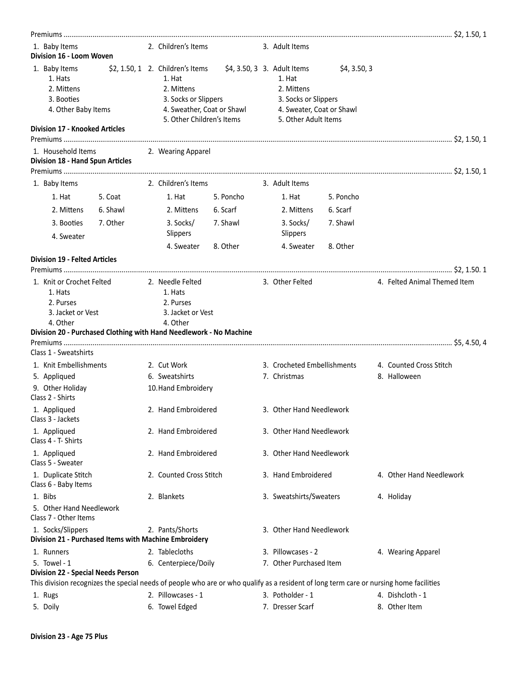| 1. Baby Items<br>Division 16 - Loom Woven                                                                                              |          | 2. Children's Items                                                                                                                          |                             | 3. Adult Items                                                                                    |              |                              |
|----------------------------------------------------------------------------------------------------------------------------------------|----------|----------------------------------------------------------------------------------------------------------------------------------------------|-----------------------------|---------------------------------------------------------------------------------------------------|--------------|------------------------------|
| 1. Baby Items<br>1. Hats<br>2. Mittens<br>3. Booties<br>4. Other Baby Items<br><b>Division 17 - Knooked Articles</b>                   |          | $$2, 1.50, 1$ 2. Children's Items<br>1. Hat<br>2. Mittens<br>3. Socks or Slippers<br>4. Sweather, Coat or Shawl<br>5. Other Children's Items | \$4, 3.50, 3 3. Adult Items | 1. Hat<br>2. Mittens<br>3. Socks or Slippers<br>4. Sweater, Coat or Shawl<br>5. Other Adult Items | \$4, 3.50, 3 |                              |
| 1. Household Items<br>Division 18 - Hand Spun Articles                                                                                 |          | 2. Wearing Apparel                                                                                                                           |                             |                                                                                                   |              |                              |
|                                                                                                                                        |          |                                                                                                                                              |                             |                                                                                                   |              |                              |
| 1. Baby Items                                                                                                                          |          | 2. Children's Items                                                                                                                          |                             | 3. Adult Items                                                                                    |              |                              |
| 1. Hat                                                                                                                                 | 5. Coat  | 1. Hat                                                                                                                                       | 5. Poncho                   | 1. Hat                                                                                            | 5. Poncho    |                              |
| 2. Mittens                                                                                                                             | 6. Shawl | 2. Mittens                                                                                                                                   | 6. Scarf                    | 2. Mittens                                                                                        | 6. Scarf     |                              |
| 3. Booties<br>4. Sweater                                                                                                               | 7. Other | 3. Socks/<br>Slippers                                                                                                                        | 7. Shawl                    | 3. Socks/<br>Slippers                                                                             | 7. Shawl     |                              |
|                                                                                                                                        |          | 4. Sweater                                                                                                                                   | 8. Other                    | 4. Sweater                                                                                        | 8. Other     |                              |
| <b>Division 19 - Felted Articles</b>                                                                                                   |          |                                                                                                                                              |                             |                                                                                                   |              |                              |
|                                                                                                                                        |          |                                                                                                                                              |                             |                                                                                                   |              |                              |
| 1. Knit or Crochet Felted<br>1. Hats<br>2. Purses<br>3. Jacket or Vest<br>4. Other                                                     |          | 2. Needle Felted<br>1. Hats<br>2. Purses<br>3. Jacket or Vest<br>4. Other                                                                    |                             | 3. Other Felted                                                                                   |              | 4. Felted Animal Themed Item |
| Division 20 - Purchased Clothing with Hand Needlework - No Machine                                                                     |          |                                                                                                                                              |                             |                                                                                                   |              |                              |
| Class 1 - Sweatshirts                                                                                                                  |          |                                                                                                                                              |                             |                                                                                                   |              |                              |
| 1. Knit Embellishments                                                                                                                 |          | 2. Cut Work                                                                                                                                  |                             | 3. Crocheted Embellishments                                                                       |              | 4. Counted Cross Stitch      |
| 5. Appliqued                                                                                                                           |          | 6. Sweatshirts                                                                                                                               |                             | 7. Christmas                                                                                      |              | 8. Halloween                 |
| 9. Other Holiday<br>Class 2 - Shirts                                                                                                   |          | 10. Hand Embroidery                                                                                                                          |                             |                                                                                                   |              |                              |
| 1. Appliqued<br>Class 3 - Jackets                                                                                                      |          | 2. Hand Embroidered                                                                                                                          |                             | 3. Other Hand Needlework                                                                          |              |                              |
| 1. Appliqued<br>Class 4 - T- Shirts                                                                                                    |          | 2. Hand Embroidered                                                                                                                          |                             | 3. Other Hand Needlework                                                                          |              |                              |
| 1. Appliqued<br>Class 5 - Sweater                                                                                                      |          | 2. Hand Embroidered                                                                                                                          |                             | 3. Other Hand Needlework                                                                          |              |                              |
| 1. Duplicate Stitch<br>Class 6 - Baby Items                                                                                            |          | 2. Counted Cross Stitch                                                                                                                      |                             | 3. Hand Embroidered                                                                               |              | 4. Other Hand Needlework     |
| 1. Bibs<br>5. Other Hand Needlework<br>Class 7 - Other Items                                                                           |          | 2. Blankets                                                                                                                                  |                             | 3. Sweatshirts/Sweaters                                                                           |              | 4. Holiday                   |
| 1. Socks/Slippers<br>Division 21 - Purchased Items with Machine Embroidery                                                             |          | 2. Pants/Shorts                                                                                                                              |                             | 3. Other Hand Needlework                                                                          |              |                              |
| 1. Runners                                                                                                                             |          | 2. Tablecloths                                                                                                                               |                             | 3. Pillowcases - 2                                                                                |              | 4. Wearing Apparel           |
| 5. Towel - 1<br><b>Division 22 - Special Needs Person</b>                                                                              |          | 6. Centerpiece/Doily                                                                                                                         |                             | 7. Other Purchased Item                                                                           |              |                              |
| This division recognizes the special needs of people who are or who qualify as a resident of long term care or nursing home facilities |          |                                                                                                                                              |                             |                                                                                                   |              |                              |
| 1. Rugs                                                                                                                                |          | 2. Pillowcases - 1                                                                                                                           |                             | 3. Potholder - 1                                                                                  |              | 4. Dishcloth - 1             |
| 5. Doily                                                                                                                               |          | 6. Towel Edged                                                                                                                               |                             | 7. Dresser Scarf                                                                                  |              | 8. Other Item                |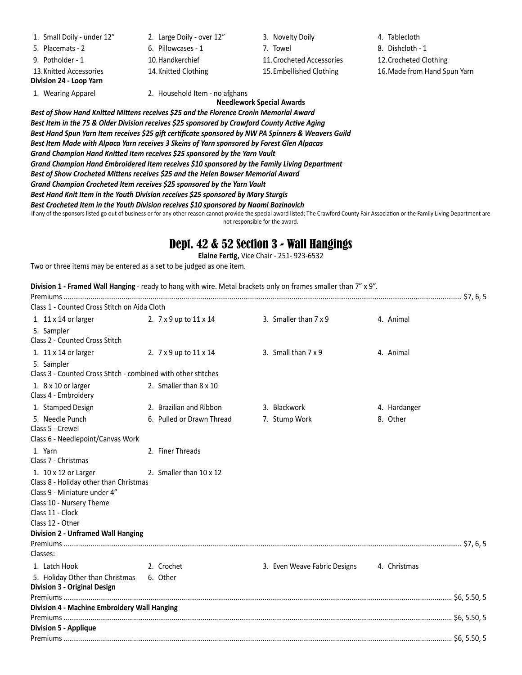1. Small Doily - under 12" 2. Large Doily - over 12" 3. Novelty Doily 4. Tablecloth 5. Placemats - 2 6. Pillowcases - 1 7. Towel 8. Dishcloth - 1 9. Potholder - 1 10.Handkerchief 11.Crocheted Accessories 12.Crocheted Clothing 13.Knitted Accessories 14.Knitted Clothing 15.Embellished Clothing 16.Made from Hand Spun Yarn **Division 24 - Loop Yarn**

1. Wearing Apparel 2. Household Item - no afghans

**Needlework Special Awards**

*Best of Show Hand Knitted Mittens receives \$25 and the Florence Cronin Memorial Award Best Item in the 75 & Older Division receives \$25 sponsored by Crawford County Active Aging Best Hand Spun Yarn Item receives \$25 gift certificate sponsored by NW PA Spinners & Weavers Guild Best Item Made with Alpaca Yarn receives 3 Skeins of Yarn sponsored by Forest Glen Alpacas Grand Champion Hand Knitted Item receives \$25 sponsored by the Yarn Vault Grand Champion Hand Embroidered Item receives \$10 sponsored by the Family Living Department Best of Show Crocheted Mittens receives \$25 and the Helen Bowser Memorial Award Grand Champion Crocheted Item receives \$25 sponsored by the Yarn Vault Best Hand Knit Item in the Youth Division receives \$25 sponsored by Mary Sturgis Best Crocheted Item in the Youth Division receives \$10 sponsored by Naomi Bozinovich*

If any of the sponsors listed go out of business or for any other reason cannot provide the special award listed; The Crawford County Fair Association or the Family Living Department are not responsible for the award.

## Dept. 42 & 52 Section 3 - Wall Hangings

**Elaine Fertig,** Vice Chair - 251- 923-6532

Two or three items may be entered as a set to be judged as one item.

**Division 1 - Framed Wall Hanging** - ready to hang with wire. Metal brackets only on frames smaller than 7" x 9".

| Class 1 - Counted Cross Stitch on Aida Cloth                                |                                      |                                           |              |
|-----------------------------------------------------------------------------|--------------------------------------|-------------------------------------------|--------------|
| 1. $11 \times 14$ or larger                                                 | 2. $7 \times 9$ up to $11 \times 14$ | 3. Smaller than 7 x 9                     | 4. Animal    |
| 5. Sampler                                                                  |                                      |                                           |              |
| Class 2 - Counted Cross Stitch                                              |                                      |                                           |              |
| 1. 11 x 14 or larger                                                        | 2. 7 x 9 up to 11 x 14               | 3. Small than 7 x 9                       | 4. Animal    |
| 5. Sampler<br>Class 3 - Counted Cross Stitch - combined with other stitches |                                      |                                           |              |
|                                                                             |                                      |                                           |              |
| 1. 8 x 10 or larger<br>Class 4 - Embroidery                                 | 2. Smaller than 8 x 10               |                                           |              |
| 1. Stamped Design                                                           | 2. Brazilian and Ribbon              | 3. Blackwork                              | 4. Hardanger |
| 5. Needle Punch<br>Class 5 - Crewel                                         | 6. Pulled or Drawn Thread            | 7. Stump Work                             | 8. Other     |
| Class 6 - Needlepoint/Canvas Work                                           |                                      |                                           |              |
| 1. Yarn                                                                     | 2. Finer Threads                     |                                           |              |
| Class 7 - Christmas                                                         |                                      |                                           |              |
| 1. 10 x 12 or Larger<br>Class 8 - Holiday other than Christmas              | 2. Smaller than 10 x 12              |                                           |              |
| Class 9 - Miniature under 4"                                                |                                      |                                           |              |
| Class 10 - Nursery Theme                                                    |                                      |                                           |              |
| Class 11 - Clock<br>Class 12 - Other                                        |                                      |                                           |              |
| <b>Division 2 - Unframed Wall Hanging</b>                                   |                                      |                                           |              |
|                                                                             |                                      |                                           |              |
| Classes:                                                                    |                                      |                                           |              |
| 1. Latch Hook                                                               | 2. Crochet                           | 3. Even Weave Fabric Designs 4. Christmas |              |
| 5. Holiday Other than Christmas                                             | 6. Other                             |                                           |              |
| <b>Division 3 - Original Design</b>                                         |                                      |                                           |              |
|                                                                             |                                      |                                           |              |
| Division 4 - Machine Embroidery Wall Hanging                                |                                      |                                           |              |
| <b>Division 5 - Applique</b>                                                |                                      |                                           |              |
|                                                                             |                                      |                                           |              |
|                                                                             |                                      |                                           |              |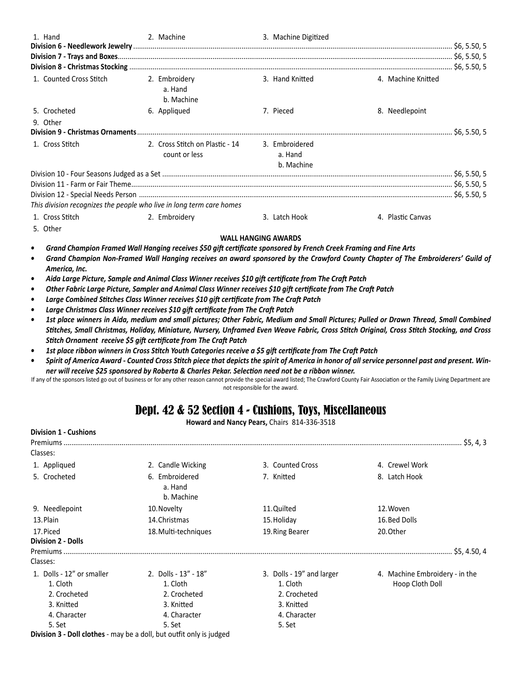| 1. Hand                                                              | 2. Machine                                                      | 3. Machine Digitized  |                    |  |
|----------------------------------------------------------------------|-----------------------------------------------------------------|-----------------------|--------------------|--|
| 1. Counted Cross Stitch                                              | 2. Embroidery<br>a. Hand<br>b. Machine                          | 3. Hand Knitted       | 4. Machine Knitted |  |
| 5. Crocheted                                                         | 6. Appliqued                                                    | 7. Pieced             | 8. Needlepoint     |  |
| 9. Other                                                             |                                                                 |                       |                    |  |
| 1. Cross Stitch                                                      | 2. Cross Stitch on Plastic - 14 3. Embroidered<br>count or less | a. Hand<br>b. Machine |                    |  |
|                                                                      |                                                                 |                       |                    |  |
|                                                                      |                                                                 |                       |                    |  |
| This division recognizes the people who live in long term care homes |                                                                 |                       |                    |  |
| 1. Cross Stitch                                                      | 2. Embroidery                                                   | 3. Latch Hook         | 4. Plastic Canvas  |  |

5. Other

#### **WALL HANGING AWARDS**

- *• Grand Champion Framed Wall Hanging receives \$50 gift certificate sponsored by French Creek Framing and Fine Arts*
- *• Grand Champion Non-Framed Wall Hanging receives an award sponsored by the Crawford County Chapter of The Embroiderers' Guild of America, Inc.*
- *• Aida Large Picture, Sample and Animal Class Winner receives \$10 gift certificate from The Craft Patch*
- *• Other Fabric Large Picture, Sampler and Animal Class Winner receives \$10 gift certificate from The Craft Patch*
- *• Large Combined Stitches Class Winner receives \$10 gift certificate from The Craft Patch*
- *• Large Christmas Class Winner receives \$10 gift certificate from The Craft Patch*
- 1st place winners in Aida, medium and small pictures; Other Fabric, Medium and Small Pictures; Pulled or Drawn Thread, Small Combined *Stitches, Small Christmas, Holiday, Miniature, Nursery, Unframed Even Weave Fabric, Cross Stitch Original, Cross Stitch Stocking, and Cross Stitch Ornament receive \$5 gift certificate from The Craft Patch*
- *• 1st place ribbon winners in Cross Stitch Youth Categories receive a \$5 gift certificate from The Craft Patch*
- *• Spirit of America Award Counted Cross Stitch piece that depicts the spirit of America in honor of all service personnel past and present. Winner will receive \$25 sponsored by Roberta & Charles Pekar. Selection need not be a ribbon winner.*

If any of the sponsors listed go out of business or for any other reason cannot provide the special award listed; The Crawford County Fair Association or the Family Living Department are not responsible for the award.

## Dept. 42 & 52 Section 4 - Cushions, Toys, Miscellaneous

**Howard and Nancy Pears,** Chairs 814-336-3518

| <b>Division 1 - Cushions</b>           |                                                                             |                           |                                |
|----------------------------------------|-----------------------------------------------------------------------------|---------------------------|--------------------------------|
|                                        |                                                                             |                           | . \$5, 4, 3                    |
| Classes:                               |                                                                             |                           |                                |
| 1. Appliqued                           | 2. Candle Wicking                                                           | 3. Counted Cross          | 4. Crewel Work                 |
| 5. Crocheted                           | 6. Embroidered<br>a. Hand<br>b. Machine                                     | 7. Knitted                | 8. Latch Hook                  |
| 9. Needlepoint                         | 10. Novelty                                                                 | 11. Quilted               | 12. Woven                      |
| 13. Plain                              | 14. Christmas                                                               | 15. Holiday               | 16. Bed Dolls                  |
| 17. Piced<br><b>Division 2 - Dolls</b> | 18. Multi-techniques                                                        | 19. Ring Bearer           | 20. Other                      |
| Classes:                               |                                                                             |                           |                                |
| 1. Dolls - 12" or smaller              | 2. Dolls - 13" - 18"                                                        | 3. Dolls - 19" and larger | 4. Machine Embroidery - in the |
| 1. Cloth                               | 1. Cloth                                                                    | 1. Cloth                  | Hoop Cloth Doll                |
| 2. Crocheted                           | 2. Crocheted                                                                | 2. Crocheted              |                                |
| 3. Knitted                             | 3. Knitted                                                                  | 3. Knitted                |                                |
| 4. Character                           | 4. Character                                                                | 4. Character              |                                |
| 5. Set                                 | 5. Set                                                                      | 5. Set                    |                                |
|                                        | <b>Division 3 - Doll clothes</b> - may be a doll, but outfit only is judged |                           |                                |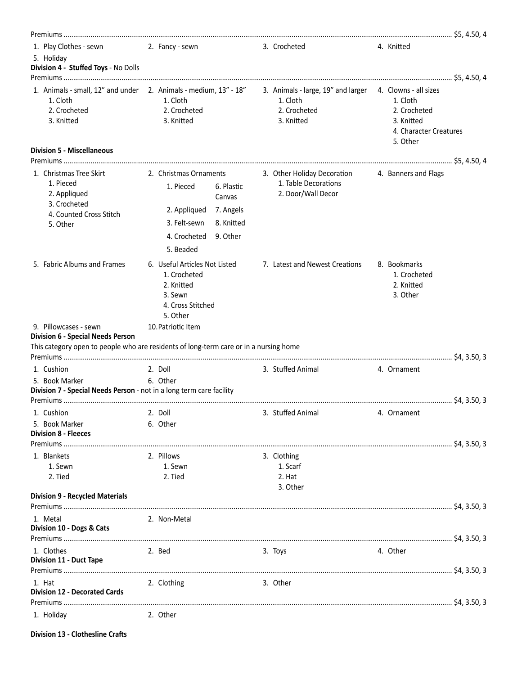| 1. Play Clothes - sewn 2. Fancy - sewn<br>5. Holiday<br>Division 4 - Stuffed Toys - No Dolls                                                                        |                                                                                                         |                                                             |             | 3. Crocheted                                                                                                          | 4. Knitted                                                                   |  |
|---------------------------------------------------------------------------------------------------------------------------------------------------------------------|---------------------------------------------------------------------------------------------------------|-------------------------------------------------------------|-------------|-----------------------------------------------------------------------------------------------------------------------|------------------------------------------------------------------------------|--|
| 1. Animals - small, 12" and under 2. Animals - medium, 13" - 18" 3. Animals - large, 19" and larger 4. Clowns - all sizes<br>1. Cloth<br>2. Crocheted<br>3. Knitted | 1. Cloth<br>2. Crocheted<br>3. Knitted                                                                  |                                                             |             | 1. Cloth<br>2. Crocheted<br>3. Knitted                                                                                | 1. Cloth<br>2. Crocheted<br>3. Knitted<br>4. Character Creatures<br>5. Other |  |
| <b>Division 5 - Miscellaneous</b>                                                                                                                                   |                                                                                                         |                                                             |             |                                                                                                                       |                                                                              |  |
| 1. Christmas Tree Skirt<br>1. Pieced<br>2. Appliqued<br>3. Crocheted<br>4. Counted Cross Stitch<br>5. Other                                                         | 1. Pieced<br>2. Appliqued<br>3. Felt-sewn<br>4. Crocheted<br>5. Beaded                                  | 6. Plastic<br>Canvas<br>7. Angels<br>8. Knitted<br>9. Other |             | 2. Christmas Ornaments 3. Other Holiday Decoration 4. Banners and Flags<br>1. Table Decorations<br>2. Door/Wall Decor |                                                                              |  |
| 5. Fabric Albums and Frames                                                                                                                                         | 6. Useful Articles Not Listed<br>1. Crocheted<br>2. Knitted<br>3. Sewn<br>4. Cross Stitched<br>5. Other |                                                             |             | 7. Latest and Newest Creations                                                                                        | 8. Bookmarks<br>1. Crocheted<br>2. Knitted<br>3. Other                       |  |
| 9. Pillowcases - sewn<br><b>Division 6 - Special Needs Person</b><br>This category open to people who are residents of long-term care or in a nursing home          | 10. Patriotic Item                                                                                      |                                                             |             |                                                                                                                       |                                                                              |  |
| 1. Cushion                                                                                                                                                          | 2. Doll                                                                                                 |                                                             |             | 3. Stuffed Animal                                                                                                     | 4. Ornament                                                                  |  |
| 5. Book Marker<br>Division 7 - Special Needs Person - not in a long term care facility                                                                              | 6. Other                                                                                                |                                                             |             |                                                                                                                       |                                                                              |  |
| 5. Book Marker<br><b>Division 8 - Fleeces</b>                                                                                                                       | 6. Other                                                                                                |                                                             |             |                                                                                                                       |                                                                              |  |
|                                                                                                                                                                     |                                                                                                         |                                                             |             |                                                                                                                       |                                                                              |  |
| 1. Blankets<br>1. Sewn<br>2. Tied                                                                                                                                   | 2. Pillows<br>1. Sewn<br>2. Tied                                                                        |                                                             | 3. Clothing | 1. Scarf<br>2. Hat<br>3. Other                                                                                        |                                                                              |  |
| <b>Division 9 - Recycled Materials</b>                                                                                                                              |                                                                                                         |                                                             |             |                                                                                                                       |                                                                              |  |
| 1. Metal<br>Division 10 - Dogs & Cats                                                                                                                               | 2. Non-Metal                                                                                            |                                                             |             |                                                                                                                       |                                                                              |  |
| 1. Clothes<br><b>Division 11 - Duct Tape</b>                                                                                                                        | 2. Bed                                                                                                  |                                                             | 3. Toys     |                                                                                                                       | 4. Other                                                                     |  |
| 1. Hat<br><b>Division 12 - Decorated Cards</b>                                                                                                                      | 2. Clothing                                                                                             |                                                             | 3. Other    |                                                                                                                       |                                                                              |  |
| 1. Holiday                                                                                                                                                          | 2. Other                                                                                                |                                                             |             |                                                                                                                       |                                                                              |  |

**Division 13 - Clothesline Crafts**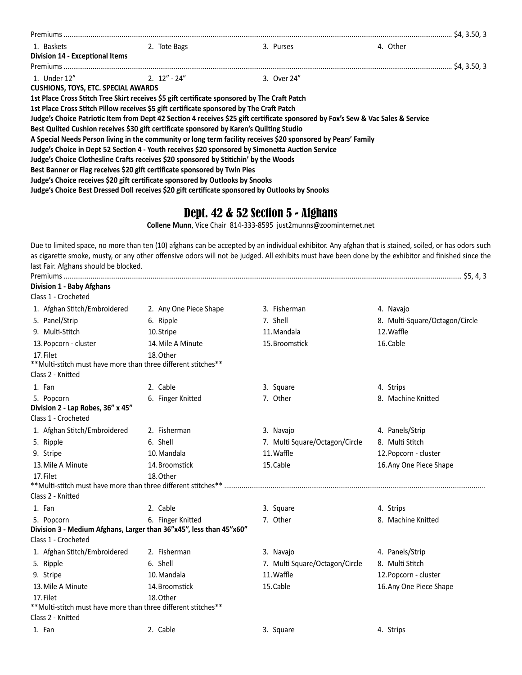| Premiums                                                                                     |               |                                                                                                                                  |          |  |
|----------------------------------------------------------------------------------------------|---------------|----------------------------------------------------------------------------------------------------------------------------------|----------|--|
| 1. Baskets<br><b>Division 14 - Exceptional Items</b>                                         | 2. Tote Bags  | 3. Purses                                                                                                                        | 4. Other |  |
|                                                                                              |               |                                                                                                                                  |          |  |
| 1. Under 12"                                                                                 | $2.12" - 24"$ | 3. Over 24"                                                                                                                      |          |  |
| <b>CUSHIONS, TOYS, ETC. SPECIAL AWARDS</b>                                                   |               |                                                                                                                                  |          |  |
| 1st Place Cross Stitch Tree Skirt receives \$5 gift certificate sponsored by The Craft Patch |               |                                                                                                                                  |          |  |
| 1st Place Cross Stitch Pillow receives \$5 gift certificate sponsored by The Craft Patch     |               |                                                                                                                                  |          |  |
|                                                                                              |               | Judge's Choice Patriotic Item from Dept 42 Section 4 receives \$25 gift certificate sponsored by Fox's Sew & Vac Sales & Service |          |  |
| Best Quilted Cushion receives \$30 gift certificate sponsored by Karen's Quilting Studio     |               |                                                                                                                                  |          |  |
|                                                                                              |               | A Special Needs Person living in the community or long term facility receives \$20 sponsored by Pears' Family                    |          |  |
|                                                                                              |               | Judge's Choice in Dept 52 Section 4 - Youth receives \$20 sponsored by Simonetta Auction Service                                 |          |  |
| Judge's Choice Clothesline Crafts receives \$20 sponsored by Stitichin' by the Woods         |               |                                                                                                                                  |          |  |
|                                                                                              |               |                                                                                                                                  |          |  |
| Best Banner or Flag receives \$20 gift certificate sponsored by Twin Pies                    |               |                                                                                                                                  |          |  |
| Judge's Choice receives \$20 gift certificate sponsored by Outlooks by Snooks                |               |                                                                                                                                  |          |  |
|                                                                                              |               | Judge's Choice Best Dressed Doll receives \$20 gift certificate sponsored by Outlooks by Snooks                                  |          |  |

## Dept. 42 & 52 Section 5 - Afghans

**Collene Munn**, Vice Chair 814-333-8595 just2munns@zoominternet.net

Due to limited space, no more than ten (10) afghans can be accepted by an individual exhibitor. Any afghan that is stained, soiled, or has odors such as cigarette smoke, musty, or any other offensive odors will not be judged. All exhibits must have been done by the exhibitor and finished since the last Fair. Afghans should be blocked. Premiums .............................................................................................................................................................................................................. \$5, 4, 3

#### **Division 1 - Baby Afghans**

| DIVISION I - DADY AIRNANS<br>Class 1 - Crocheted               |                                                                     |                                |                                |
|----------------------------------------------------------------|---------------------------------------------------------------------|--------------------------------|--------------------------------|
| 1. Afghan Stitch/Embroidered                                   | 2. Any One Piece Shape                                              | 3. Fisherman                   | 4. Navajo                      |
| 5. Panel/Strip                                                 | 6. Ripple                                                           | 7. Shell                       | 8. Multi-Square/Octagon/Circle |
| 9. Multi-Stitch                                                | 10.Stripe                                                           | 11. Mandala                    | 12. Waffle                     |
| 13. Popcorn - cluster                                          | 14. Mile A Minute                                                   | 15. Broomstick                 | 16. Cable                      |
| 17. Filet                                                      | 18. Other                                                           |                                |                                |
| ** Multi-stitch must have more than three different stitches** |                                                                     |                                |                                |
| Class 2 - Knitted                                              |                                                                     |                                |                                |
| 1. Fan                                                         | 2. Cable                                                            | 3. Square                      | 4. Strips                      |
| 5. Popcorn                                                     | 6. Finger Knitted                                                   | 7. Other                       | 8. Machine Knitted             |
| Division 2 - Lap Robes, 36" x 45"                              |                                                                     |                                |                                |
| Class 1 - Crocheted                                            |                                                                     |                                |                                |
| 1. Afghan Stitch/Embroidered                                   | 2. Fisherman                                                        | 3. Navajo                      | 4. Panels/Strip                |
| 5. Ripple                                                      | 6. Shell                                                            | 7. Multi Square/Octagon/Circle | 8. Multi Stitch                |
| 9. Stripe                                                      | 10. Mandala                                                         | 11. Waffle                     | 12. Popcorn - cluster          |
| 13. Mile A Minute                                              | 14. Broomstick                                                      | 15. Cable                      | 16. Any One Piece Shape        |
| 17. Filet                                                      | 18. Other                                                           |                                |                                |
|                                                                |                                                                     |                                |                                |
| Class 2 - Knitted                                              |                                                                     |                                |                                |
| 1. Fan                                                         | 2. Cable                                                            | 3. Square                      | 4. Strips                      |
| 5. Popcorn                                                     | 6. Finger Knitted                                                   | 7. Other                       | 8. Machine Knitted             |
|                                                                | Division 3 - Medium Afghans, Larger than 36"x45", less than 45"x60" |                                |                                |
| Class 1 - Crocheted                                            |                                                                     |                                |                                |
| 1. Afghan Stitch/Embroidered                                   | 2. Fisherman                                                        | 3. Navajo                      | 4. Panels/Strip                |
| 5. Ripple                                                      | 6. Shell                                                            | 7. Multi Square/Octagon/Circle | 8. Multi Stitch                |
| 9. Stripe                                                      | 10. Mandala                                                         | 11. Waffle                     | 12. Popcorn - cluster          |
| 13. Mile A Minute                                              | 14. Broomstick                                                      | 15. Cable                      | 16. Any One Piece Shape        |
| 17. Filet                                                      | 18. Other                                                           |                                |                                |
| ** Multi-stitch must have more than three different stitches** |                                                                     |                                |                                |
| Class 2 - Knitted                                              |                                                                     |                                |                                |
| 1. Fan                                                         | 2. Cable                                                            | 3. Square                      | 4. Strips                      |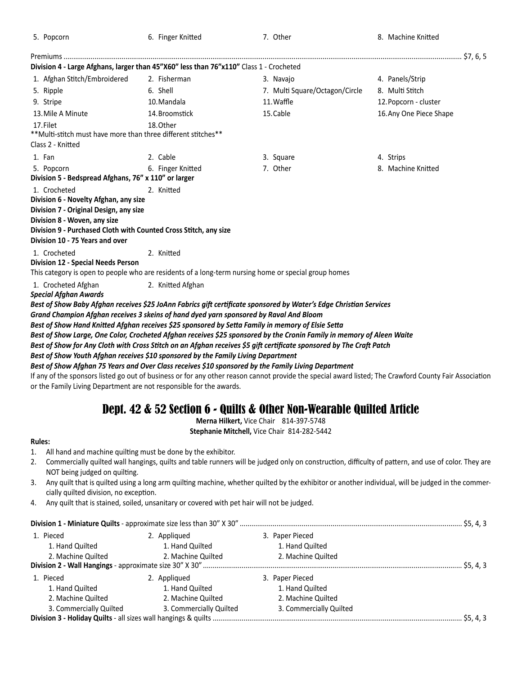| 5. Popcorn                                                                                       | 6. Finger Knitted | 7. Other                                                                                                                                               | 8. Machine Knitted      |
|--------------------------------------------------------------------------------------------------|-------------------|--------------------------------------------------------------------------------------------------------------------------------------------------------|-------------------------|
|                                                                                                  |                   |                                                                                                                                                        |                         |
| Division 4 - Large Afghans, larger than 45"X60" less than 76"x110" Class 1 - Crocheted           |                   |                                                                                                                                                        |                         |
| 1. Afghan Stitch/Embroidered                                                                     | 2. Fisherman      | 3. Navajo                                                                                                                                              | 4. Panels/Strip         |
| 5. Ripple                                                                                        | 6. Shell          | 7. Multi Square/Octagon/Circle                                                                                                                         | 8. Multi Stitch         |
| 9. Stripe                                                                                        | 10. Mandala       | 11. Waffle                                                                                                                                             | 12. Popcorn - cluster   |
| 13. Mile A Minute                                                                                | 14. Broomstick    | 15. Cable                                                                                                                                              | 16. Any One Piece Shape |
| 17. Filet                                                                                        | 18. Other         |                                                                                                                                                        |                         |
| ** Multi-stitch must have more than three different stitches**<br>Class 2 - Knitted              |                   |                                                                                                                                                        |                         |
| 1. Fan                                                                                           | 2. Cable          | 3. Square                                                                                                                                              | 4. Strips               |
| 5. Popcorn                                                                                       | 6. Finger Knitted | 7. Other                                                                                                                                               | 8. Machine Knitted      |
| Division 5 - Bedspread Afghans, 76" x 110" or larger                                             |                   |                                                                                                                                                        |                         |
| 1. Crocheted                                                                                     | 2. Knitted        |                                                                                                                                                        |                         |
| Division 6 - Novelty Afghan, any size                                                            |                   |                                                                                                                                                        |                         |
| Division 7 - Original Design, any size                                                           |                   |                                                                                                                                                        |                         |
| Division 8 - Woven, any size<br>Division 9 - Purchased Cloth with Counted Cross Stitch, any size |                   |                                                                                                                                                        |                         |
| Division 10 - 75 Years and over                                                                  |                   |                                                                                                                                                        |                         |
| 1. Crocheted                                                                                     | 2. Knitted        |                                                                                                                                                        |                         |
| Division 12 - Special Needs Person                                                               |                   |                                                                                                                                                        |                         |
|                                                                                                  |                   | This category is open to people who are residents of a long-term nursing home or special group homes                                                   |                         |
| 1. Crocheted Afghan<br><b>Special Afghan Awards</b>                                              | 2. Knitted Afghan |                                                                                                                                                        |                         |
|                                                                                                  |                   | Best of Show Baby Afghan receives \$25 JoAnn Fabrics gift certificate sponsored by Water's Edge Christian Services                                     |                         |
| Grand Champion Afghan receives 3 skeins of hand dyed yarn sponsored by Raval And Bloom           |                   |                                                                                                                                                        |                         |
|                                                                                                  |                   | Best of Show Hand Knitted Afghan receives \$25 sponsored by Setta Family in memory of Elsie Setta                                                      |                         |
|                                                                                                  |                   | Best of Show Large, One Color, Crocheted Afghan receives \$25 sponsored by the Cronin Family in memory of Aleen Waite                                  |                         |
|                                                                                                  |                   | Best of Show for Any Cloth with Cross Stitch on an Afghan receives \$5 gift certificate sponsored by The Craft Patch                                   |                         |
| Best of Show Youth Afghan receives \$10 sponsored by the Family Living Department                |                   |                                                                                                                                                        |                         |
|                                                                                                  |                   | Best of Show Afghan 75 Years and Over Class receives \$10 sponsored by the Family Living Department                                                    |                         |
|                                                                                                  |                   | If any of the sponsors listed go out of business or for any other reason cannot provide the special award listed; The Crawford County Fair Association |                         |

## or the Family Living Department are not responsible for the awards.

# Dept. 42 & 52 Section 6 - Quilts & Other Non-Wearable Quilted Article

**Merna Hilkert,** Vice Chair 814-397-5748

**Stephanie Mitchell,** Vice Chair 814-282-5442

#### **Rules:**

- 1. All hand and machine quilting must be done by the exhibitor.
- 2. Commercially quilted wall hangings, quilts and table runners will be judged only on construction, difficulty of pattern, and use of color. They are NOT being judged on quilting.
- 3. Any quilt that is quilted using a long arm quilting machine, whether quilted by the exhibitor or another individual, will be judged in the commercially quilted division, no exception.
- 4. Any quilt that is stained, soiled, unsanitary or covered with pet hair will not be judged.

|                         |                         |                         | \$5, 4, 3   |
|-------------------------|-------------------------|-------------------------|-------------|
| 1. Pieced               | 2. Appliqued            | 3. Paper Pieced         |             |
| 1. Hand Quilted         | 1. Hand Quilted         | 1. Hand Quilted         |             |
| 2. Machine Quilted      | 2. Machine Quilted      | 2. Machine Quilted      |             |
|                         |                         |                         | . \$5. 4. 3 |
| 1. Pieced               | 2. Appliqued            | 3. Paper Pieced         |             |
| 1. Hand Quilted         | 1. Hand Quilted         | 1. Hand Quilted         |             |
| 2. Machine Quilted      | 2. Machine Quilted      | 2. Machine Quilted      |             |
| 3. Commercially Quilted | 3. Commercially Quilted | 3. Commercially Quilted |             |
|                         |                         |                         |             |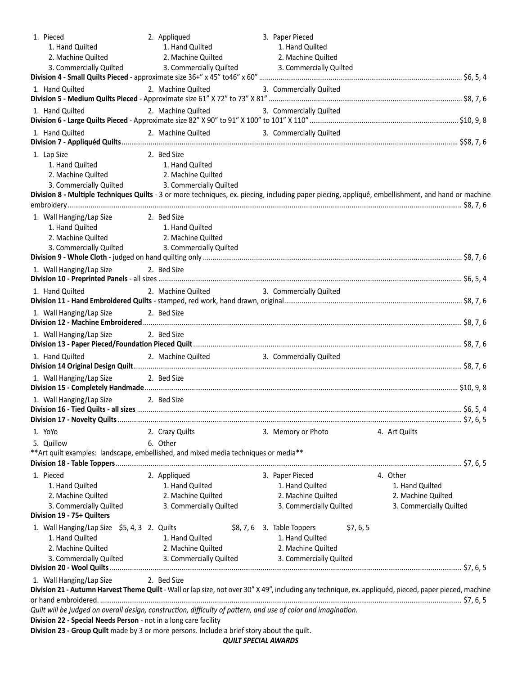| 1. Pieced                                                                                                                                              | 2. Appliqued                               | 3. Paper Pieced                          |                         |  |
|--------------------------------------------------------------------------------------------------------------------------------------------------------|--------------------------------------------|------------------------------------------|-------------------------|--|
| 1. Hand Quilted                                                                                                                                        | 1. Hand Quilted                            | 1. Hand Quilted                          |                         |  |
| 2. Machine Quilted                                                                                                                                     | 2. Machine Quilted                         | 2. Machine Quilted                       |                         |  |
|                                                                                                                                                        |                                            |                                          |                         |  |
|                                                                                                                                                        |                                            |                                          |                         |  |
| 1. Hand Quilted                                                                                                                                        | 2. Machine Quilted                         | 3. Commercially Quilted                  |                         |  |
| 1. Hand Quilted                                                                                                                                        | 2. Machine Quilted                         | 3. Commercially Quilted                  |                         |  |
| 1. Hand Quilted                                                                                                                                        | 2. Machine Quilted                         | 3. Commercially Quilted                  |                         |  |
|                                                                                                                                                        |                                            |                                          |                         |  |
| 1. Lap Size                                                                                                                                            | 2. Bed Size                                |                                          |                         |  |
| 1. Hand Quilted                                                                                                                                        | 1. Hand Quilted                            |                                          |                         |  |
| 2. Machine Quilted                                                                                                                                     | 2. Machine Quilted                         |                                          |                         |  |
| 3. Commercially Quilted 3. Commercially Quilted                                                                                                        |                                            |                                          |                         |  |
| Division 8 - Multiple Techniques Quilts - 3 or more techniques, ex. piecing, including paper piecing, appliqué, embellishment, and hand or machine     |                                            |                                          |                         |  |
|                                                                                                                                                        |                                            |                                          |                         |  |
|                                                                                                                                                        |                                            |                                          |                         |  |
| 1. Wall Hanging/Lap Size                                                                                                                               | 2. Bed Size                                |                                          |                         |  |
| 1. Hand Quilted                                                                                                                                        | 1. Hand Quilted                            |                                          |                         |  |
| 2. Machine Quilted                                                                                                                                     | 2. Machine Quilted                         |                                          |                         |  |
| 3. Commercially Quilted                                                                                                                                | 3. Commercially Quilted                    |                                          |                         |  |
|                                                                                                                                                        |                                            |                                          |                         |  |
| 1. Wall Hanging/Lap Size                                                                                                                               | 2. Bed Size                                |                                          |                         |  |
|                                                                                                                                                        |                                            |                                          |                         |  |
| 1. Hand Quilted                                                                                                                                        | 2. Machine Quilted                         | 3. Commercially Quilted                  |                         |  |
|                                                                                                                                                        |                                            |                                          |                         |  |
| 1. Wall Hanging/Lap Size                                                                                                                               | 2. Bed Size                                |                                          |                         |  |
|                                                                                                                                                        |                                            |                                          |                         |  |
| 1. Wall Hanging/Lap Size                                                                                                                               | 2. Bed Size                                |                                          |                         |  |
|                                                                                                                                                        |                                            |                                          |                         |  |
|                                                                                                                                                        |                                            |                                          |                         |  |
| 1. Hand Quilted                                                                                                                                        | 2. Machine Quilted 3. Commercially Quilted |                                          |                         |  |
|                                                                                                                                                        |                                            |                                          |                         |  |
| 1. Wall Hanging/Lap Size 2. Bed Size                                                                                                                   |                                            |                                          |                         |  |
|                                                                                                                                                        |                                            |                                          |                         |  |
| 1. Wall Hanging/Lap Size 2. Bed Size                                                                                                                   |                                            |                                          |                         |  |
|                                                                                                                                                        |                                            |                                          |                         |  |
|                                                                                                                                                        |                                            |                                          |                         |  |
| 1. YoYo                                                                                                                                                | 2. Crazy Quilts                            | 3. Memory or Photo                       | 4. Art Quilts           |  |
| 5. Quillow                                                                                                                                             | 6. Other                                   |                                          |                         |  |
| ** Art quilt examples: landscape, embellished, and mixed media techniques or media**                                                                   |                                            |                                          |                         |  |
|                                                                                                                                                        |                                            |                                          |                         |  |
| 1. Pieced                                                                                                                                              | 2. Appliqued                               | 3. Paper Pieced                          | 4. Other                |  |
|                                                                                                                                                        |                                            |                                          |                         |  |
| 1. Hand Quilted                                                                                                                                        | 1. Hand Quilted                            | 1. Hand Quilted                          | 1. Hand Quilted         |  |
| 2. Machine Quilted                                                                                                                                     | 2. Machine Quilted                         | 2. Machine Quilted                       | 2. Machine Quilted      |  |
| 3. Commercially Quilted                                                                                                                                | 3. Commercially Quilted                    | 3. Commercially Quilted                  | 3. Commercially Quilted |  |
| Division 19 - 75+ Quilters                                                                                                                             |                                            |                                          |                         |  |
| 1. Wall Hanging/Lap Size \$5, 4, 3 2. Quilts                                                                                                           |                                            | $$8, 7, 6$ 3. Table Toppers<br>\$7, 6, 5 |                         |  |
| 1. Hand Quilted                                                                                                                                        | 1. Hand Quilted                            | 1. Hand Quilted                          |                         |  |
| 2. Machine Quilted                                                                                                                                     | 2. Machine Quilted                         | 2. Machine Quilted                       |                         |  |
| 3. Commercially Quilted                                                                                                                                | 3. Commercially Quilted                    | 3. Commercially Quilted                  |                         |  |
|                                                                                                                                                        |                                            |                                          |                         |  |
| 1. Wall Hanging/Lap Size                                                                                                                               | 2. Bed Size                                |                                          |                         |  |
| Division 21 - Autumn Harvest Theme Quilt - Wall or lap size, not over 30" X 49", including any technique, ex. appliquéd, pieced, paper pieced, machine |                                            |                                          |                         |  |
|                                                                                                                                                        |                                            |                                          |                         |  |
| Quilt will be judged on overall design, construction, difficulty of pattern, and use of color and imagination.                                         |                                            |                                          |                         |  |
| Division 22 - Special Needs Person - not in a long care facility                                                                                       |                                            |                                          |                         |  |
| Division 23 - Group Quilt made by 3 or more persons. Include a brief story about the quilt.                                                            |                                            |                                          |                         |  |

*QUILT SPECIAL AWARDS*